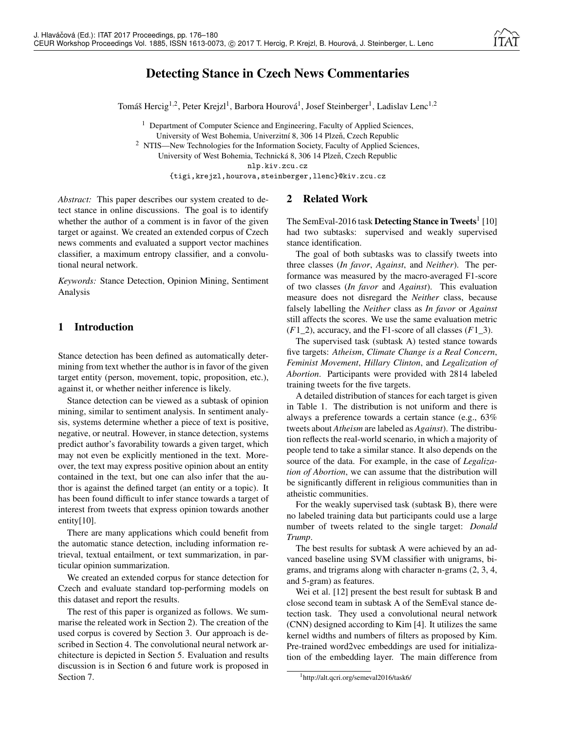# Detecting Stance in Czech News Commentaries

Tomáš Hercig<sup>1,2</sup>, Peter Krejzl<sup>1</sup>, Barbora Hourová<sup>1</sup>, Josef Steinberger<sup>1</sup>, Ladislav Lenc<sup>1,2</sup>

<sup>1</sup> Department of Computer Science and Engineering, Faculty of Applied Sciences, University of West Bohemia, Univerzitní 8, 306 14 Plzeň, Czech Republic <sup>2</sup> NTIS—New Technologies for the Information Society, Faculty of Applied Sciences, University of West Bohemia, Technická 8, 306 14 Plzeň, Czech Republic nlp.kiv.zcu.cz {tigi,krejzl,hourova,steinberger,llenc}@kiv.zcu.cz

*Abstract:* This paper describes our system created to detect stance in online discussions. The goal is to identify whether the author of a comment is in favor of the given target or against. We created an extended corpus of Czech news comments and evaluated a support vector machines classifier, a maximum entropy classifier, and a convolutional neural network.

*Keywords:* Stance Detection, Opinion Mining, Sentiment Analysis

# 1 Introduction

Stance detection has been defined as automatically determining from text whether the author is in favor of the given target entity (person, movement, topic, proposition, etc.), against it, or whether neither inference is likely.

Stance detection can be viewed as a subtask of opinion mining, similar to sentiment analysis. In sentiment analysis, systems determine whether a piece of text is positive, negative, or neutral. However, in stance detection, systems predict author's favorability towards a given target, which may not even be explicitly mentioned in the text. Moreover, the text may express positive opinion about an entity contained in the text, but one can also infer that the author is against the defined target (an entity or a topic). It has been found difficult to infer stance towards a target of interest from tweets that express opinion towards another entity $[10]$ .

There are many applications which could benefit from the automatic stance detection, including information retrieval, textual entailment, or text summarization, in particular opinion summarization.

We created an extended corpus for stance detection for Czech and evaluate standard top-performing models on this dataset and report the results.

The rest of this paper is organized as follows. We summarise the releated work in Section 2). The creation of the used corpus is covered by Section 3. Our approach is described in Section 4. The convolutional neural network architecture is depicted in Section 5. Evaluation and results discussion is in Section 6 and future work is proposed in Section 7.

# 2 Related Work

The SemEval-2016 task **Detecting Stance in Tweets**<sup>1</sup> [10] had two subtasks: supervised and weakly supervised stance identification.

The goal of both subtasks was to classify tweets into three classes (*In favor*, *Against*, and *Neither*). The performance was measured by the macro-averaged F1-score of two classes (*In favor* and *Against*). This evaluation measure does not disregard the *Neither* class, because falsely labelling the *Neither* class as *In favor* or *Against* still affects the scores. We use the same evaluation metric (*F*1\_2), accuracy, and the F1-score of all classes (*F*1\_3).

The supervised task (subtask A) tested stance towards five targets: *Atheism*, *Climate Change is a Real Concern*, *Feminist Movement*, *Hillary Clinton*, and *Legalization of Abortion*. Participants were provided with 2814 labeled training tweets for the five targets.

A detailed distribution of stances for each target is given in Table 1. The distribution is not uniform and there is always a preference towards a certain stance (e.g., 63% tweets about *Atheism* are labeled as *Against*). The distribution reflects the real-world scenario, in which a majority of people tend to take a similar stance. It also depends on the source of the data. For example, in the case of *Legalization of Abortion*, we can assume that the distribution will be significantly different in religious communities than in atheistic communities.

For the weakly supervised task (subtask B), there were no labeled training data but participants could use a large number of tweets related to the single target: *Donald Trump*.

The best results for subtask A were achieved by an advanced baseline using SVM classifier with unigrams, bigrams, and trigrams along with character n-grams (2, 3, 4, and 5-gram) as features.

Wei et al. [12] present the best result for subtask B and close second team in subtask A of the SemEval stance detection task. They used a convolutional neural network (CNN) designed according to Kim [4]. It utilizes the same kernel widths and numbers of filters as proposed by Kim. Pre-trained word2vec embeddings are used for initialization of the embedding layer. The main difference from

<sup>1</sup>http://alt.qcri.org/semeval2016/task6/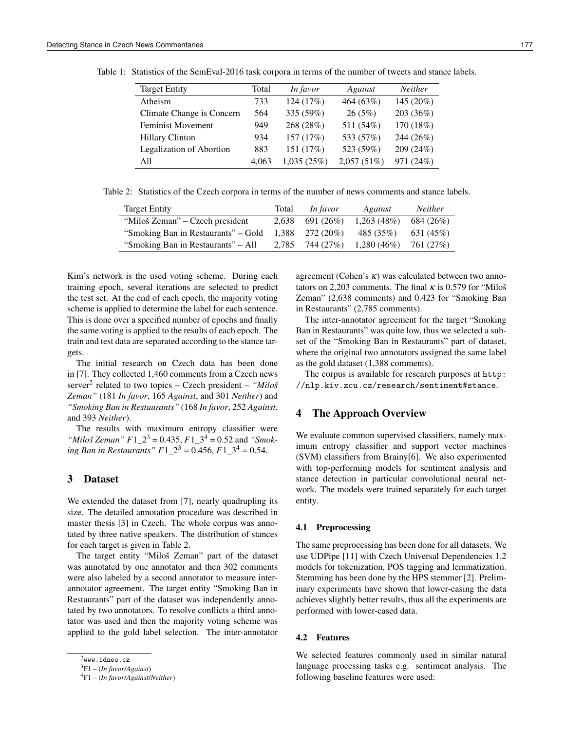| <b>Target Entity</b>            | Total | In favor   | Against    | <b>Neither</b> |  |
|---------------------------------|-------|------------|------------|----------------|--|
| Atheism                         | 733   | 124 (17%)  | 464 (63%)  | 145 (20%)      |  |
| Climate Change is Concern       | 564   | 335 (59%)  | 26(5%)     | 203 (36%)      |  |
| <b>Feminist Movement</b>        | 949   | 268 (28%)  | 511 (54%)  | 170 (18%)      |  |
| <b>Hillary Clinton</b>          | 934   | 157 (17%)  | 533 (57%)  | 244 (26%)      |  |
| <b>Legalization of Abortion</b> | 883   | 151 (17%)  | 523 (59%)  | 209(24%)       |  |
| A11                             | 4.063 | 1,035(25%) | 2,057(51%) | 971 (24%)      |  |

Table 1: Statistics of the SemEval-2016 task corpora in terms of the number of tweets and stance labels.

Table 2: Statistics of the Czech corpora in terms of the number of news comments and stance labels.

| <b>Target Entity</b>                | Total | In favor  | Against       | <b>Neither</b> |
|-------------------------------------|-------|-----------|---------------|----------------|
| "Miloš Zeman" – Czech president     | 2.638 | 691 (26%) | 1,263(48%)    | 684 (26%)      |
| "Smoking Ban in Restaurants" – Gold | 1.388 | 272 (20%) | 485 (35%)     | 631 (45%)      |
| "Smoking Ban in Restaurants" – All  | 2.785 | 744 (27%) | $1,280(46\%)$ | 761 (27%)      |

Kim's network is the used voting scheme. During each training epoch, several iterations are selected to predict the test set. At the end of each epoch, the majority voting scheme is applied to determine the label for each sentence. This is done over a specified number of epochs and finally the same voting is applied to the results of each epoch. The train and test data are separated according to the stance targets.

The initial research on Czech data has been done in [7]. They collected 1,460 comments from a Czech news server<sup>2</sup> related to two topics – Czech president – "Miloš *Zeman"* (181 *In favor*, 165 *Against*, and 301 *Neither*) and *"Smoking Ban in Restaurants"* (168 *In favor*, 252 *Against*, and 393 *Neither*).

The results with maximum entropy classifier were "*Miloš Zeman*"  $F1_2^3 = 0.435$ ,  $F1_3^4 = 0.52$  and "*Smoking Ban in Restaurants*"  $F1\ 2^3 = 0.456, F1\ 3^4 = 0.54$ .

# 3 Dataset

We extended the dataset from [7], nearly quadrupling its size. The detailed annotation procedure was described in master thesis [3] in Czech. The whole corpus was annotated by three native speakers. The distribution of stances for each target is given in Table 2.

The target entity "Miloš Zeman" part of the dataset was annotated by one annotator and then 302 comments were also labeled by a second annotator to measure interannotator agreement. The target entity "Smoking Ban in Restaurants" part of the dataset was independently annotated by two annotators. To resolve conflicts a third annotator was used and then the majority voting scheme was applied to the gold label selection. The inter-annotator

agreement (Cohen's  $\kappa$ ) was calculated between two annotators on 2,203 comments. The final  $\kappa$  is 0.579 for "Miloš" Zeman" (2,638 comments) and 0.423 for "Smoking Ban in Restaurants" (2,785 comments).

The inter-annotator agreement for the target "Smoking Ban in Restaurants" was quite low, thus we selected a subset of the "Smoking Ban in Restaurants" part of dataset, where the original two annotators assigned the same label as the gold dataset (1,388 comments).

The corpus is available for research purposes at http: //nlp.kiv.zcu.cz/research/sentiment#stance.

### 4 The Approach Overview

We evaluate common supervised classifiers, namely maximum entropy classifier and support vector machines (SVM) classifiers from Brainy[6]. We also experimented with top-performing models for sentiment analysis and stance detection in particular convolutional neural network. The models were trained separately for each target entity.

#### 4.1 Preprocessing

The same preprocessing has been done for all datasets. We use UDPipe [11] with Czech Universal Dependencies 1.2 models for tokenization, POS tagging and lemmatization. Stemming has been done by the HPS stemmer [2]. Preliminary experiments have shown that lower-casing the data achieves slightly better results, thus all the experiments are performed with lower-cased data.

#### 4.2 Features

We selected features commonly used in similar natural language processing tasks e.g. sentiment analysis. The following baseline features were used:

 $^{2}$ www.idnes.cz

<sup>3</sup>F1 – (*In favor*/*Against*)

<sup>4</sup>F1 – (*In favor*/*Against*/*Neither*)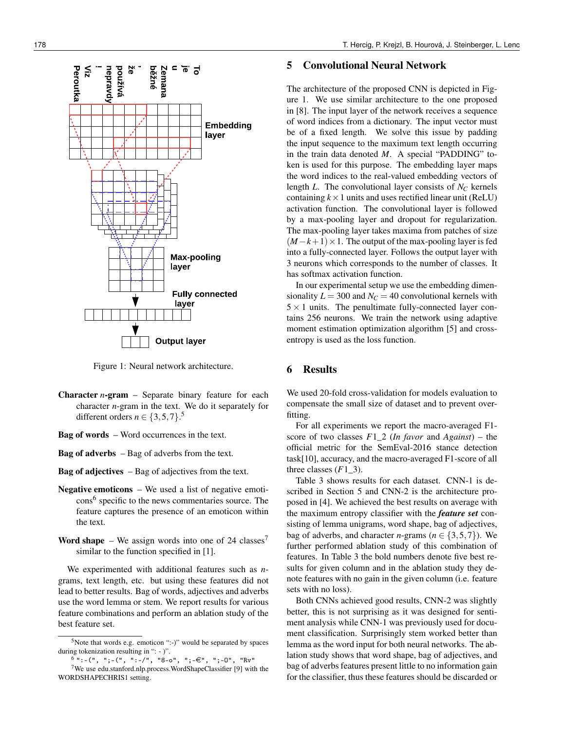

Figure 1: Neural network architecture.

- Character *n*-gram Separate binary feature for each character *n*-gram in the text. We do it separately for different orders  $n \in \{3, 5, 7\}$ .<sup>5</sup>
- Bag of words Word occurrences in the text.
- Bag of adverbs Bag of adverbs from the text.
- Bag of adjectives Bag of adjectives from the text.
- Negative emoticons We used a list of negative emoticons<sup>6</sup> specific to the news commentaries source. The feature captures the presence of an emoticon within the text.
- **Word shape** We assign words into one of 24 classes<sup>7</sup> similar to the function specified in [1].

We experimented with additional features such as *n*grams, text length, etc. but using these features did not lead to better results. Bag of words, adjectives and adverbs use the word lemma or stem. We report results for various feature combinations and perform an ablation study of the best feature set.

#### 178 T. Hercig, P. Krejzl, B. Hourová, J. Steinberger, L. Lenc

### 5 Convolutional Neural Network

The architecture of the proposed CNN is depicted in Figure 1. We use similar architecture to the one proposed in [8]. The input layer of the network receives a sequence of word indices from a dictionary. The input vector must be of a fixed length. We solve this issue by padding the input sequence to the maximum text length occurring in the train data denoted *M*. A special "PADDING" token is used for this purpose. The embedding layer maps the word indices to the real-valued embedding vectors of length *L*. The convolutional layer consists of *N<sup>C</sup>* kernels containing  $k \times 1$  units and uses rectified linear unit (ReLU) activation function. The convolutional layer is followed by a max-pooling layer and dropout for regularization. The max-pooling layer takes maxima from patches of size  $(M-k+1) \times 1$ . The output of the max-pooling layer is fed into a fully-connected layer. Follows the output layer with 3 neurons which corresponds to the number of classes. It has softmax activation function.

In our experimental setup we use the embedding dimensionality  $L = 300$  and  $N_C = 40$  convolutional kernels with  $5 \times 1$  units. The penultimate fully-connected layer contains 256 neurons. We train the network using adaptive moment estimation optimization algorithm [5] and crossentropy is used as the loss function.

## 6 Results

We used 20-fold cross-validation for models evaluation to compensate the small size of dataset and to prevent overfitting.

For all experiments we report the macro-averaged F1 score of two classes *F*1\_2 (*In favor* and *Against*) – the official metric for the SemEval-2016 stance detection task[10], accuracy, and the macro-averaged F1-score of all three classes  $(F1_3)$ .

Table 3 shows results for each dataset. CNN-1 is described in Section 5 and CNN-2 is the architecture proposed in [4]. We achieved the best results on average with the maximum entropy classifier with the *feature set* consisting of lemma unigrams, word shape, bag of adjectives, bag of adverbs, and character *n*-grams ( $n \in \{3, 5, 7\}$ ). We further performed ablation study of this combination of features. In Table 3 the bold numbers denote five best results for given column and in the ablation study they denote features with no gain in the given column (i.e. feature sets with no loss).

Both CNNs achieved good results, CNN-2 was slightly better, this is not surprising as it was designed for sentiment analysis while CNN-1 was previously used for document classification. Surprisingly stem worked better than lemma as the word input for both neural networks. The ablation study shows that word shape, bag of adjectives, and bag of adverbs features present little to no information gain for the classifier, thus these features should be discarded or

<sup>5</sup>Note that words e.g. emoticon ":-)" would be separated by spaces during tokenization resulting in ": - )".

 $^{6}$  ":-(", ";-(", ":- $/$ ", "8-o", ";- $\in$ ", ";-0", "Rv"

<sup>7</sup>We use edu.stanford.nlp.process.WordShapeClassifier [9] with the WORDSHAPECHRIS1 setting.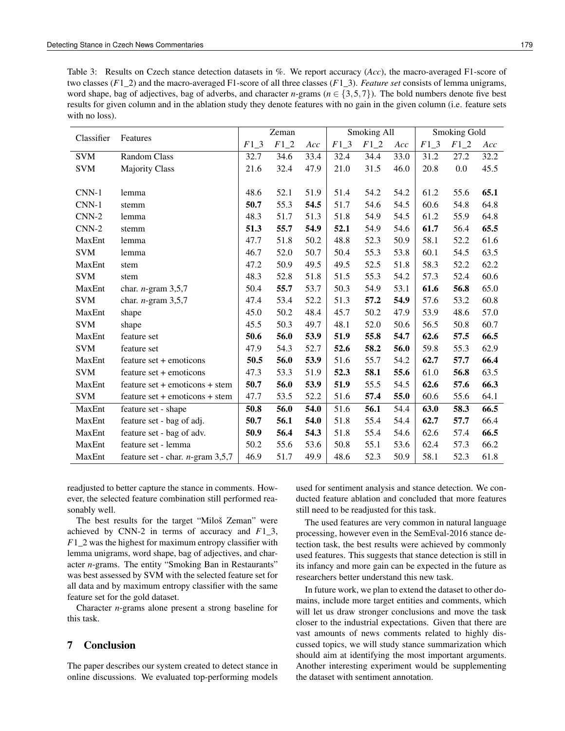Table 3: Results on Czech stance detection datasets in %. We report accuracy (*Acc*), the macro-averaged F1-score of two classes (*F*1\_2) and the macro-averaged F1-score of all three classes (*F*1\_3). *Feature set* consists of lemma unigrams, word shape, bag of adjectives, bag of adverbs, and character *n*-grams ( $n \in \{3, 5, 7\}$ ). The bold numbers denote five best results for given column and in the ablation study they denote features with no gain in the given column (i.e. feature sets with no loss).

| Classifier | Features                                   | Zeman  |      |      | Smoking All |      |      | Smoking Gold |        |      |
|------------|--------------------------------------------|--------|------|------|-------------|------|------|--------------|--------|------|
|            |                                            | $F1_3$ | F12  | Acc  | $F1_3$      | F12  | Acc  | $F1_3$       | $F1_2$ | Acc  |
| <b>SVM</b> | Random Class                               | 32.7   | 34.6 | 33.4 | 32.4        | 34.4 | 33.0 | 31.2         | 27.2   | 32.2 |
| <b>SVM</b> | <b>Majority Class</b>                      | 21.6   | 32.4 | 47.9 | 21.0        | 31.5 | 46.0 | 20.8         | 0.0    | 45.5 |
|            |                                            |        |      |      |             |      |      |              |        |      |
| $CNN-1$    | lemma                                      | 48.6   | 52.1 | 51.9 | 51.4        | 54.2 | 54.2 | 61.2         | 55.6   | 65.1 |
| $CNN-1$    | stemm                                      | 50.7   | 55.3 | 54.5 | 51.7        | 54.6 | 54.5 | 60.6         | 54.8   | 64.8 |
| $CNN-2$    | lemma                                      | 48.3   | 51.7 | 51.3 | 51.8        | 54.9 | 54.5 | 61.2         | 55.9   | 64.8 |
| $CNN-2$    | stemm                                      | 51.3   | 55.7 | 54.9 | 52.1        | 54.9 | 54.6 | 61.7         | 56.4   | 65.5 |
| MaxEnt     | lemma                                      | 47.7   | 51.8 | 50.2 | 48.8        | 52.3 | 50.9 | 58.1         | 52.2   | 61.6 |
| <b>SVM</b> | lemma                                      | 46.7   | 52.0 | 50.7 | 50.4        | 55.3 | 53.8 | 60.1         | 54.5   | 63.5 |
| MaxEnt     | stem                                       | 47.2   | 50.9 | 49.5 | 49.5        | 52.5 | 51.8 | 58.3         | 52.2   | 62.2 |
| <b>SVM</b> | stem                                       | 48.3   | 52.8 | 51.8 | 51.5        | 55.3 | 54.2 | 57.3         | 52.4   | 60.6 |
| MaxEnt     | char. $n$ -gram 3,5,7                      | 50.4   | 55.7 | 53.7 | 50.3        | 54.9 | 53.1 | 61.6         | 56.8   | 65.0 |
| <b>SVM</b> | char. $n$ -gram 3,5,7                      | 47.4   | 53.4 | 52.2 | 51.3        | 57.2 | 54.9 | 57.6         | 53.2   | 60.8 |
| MaxEnt     | shape                                      | 45.0   | 50.2 | 48.4 | 45.7        | 50.2 | 47.9 | 53.9         | 48.6   | 57.0 |
| <b>SVM</b> | shape                                      | 45.5   | 50.3 | 49.7 | 48.1        | 52.0 | 50.6 | 56.5         | 50.8   | 60.7 |
| MaxEnt     | feature set                                | 50.6   | 56.0 | 53.9 | 51.9        | 55.8 | 54.7 | 62.6         | 57.5   | 66.5 |
| <b>SVM</b> | feature set                                | 47.9   | 54.3 | 52.7 | 52.6        | 58.2 | 56.0 | 59.8         | 55.3   | 62.9 |
| MaxEnt     | feature set + emoticons                    | 50.5   | 56.0 | 53.9 | 51.6        | 55.7 | 54.2 | 62.7         | 57.7   | 66.4 |
| <b>SVM</b> | feature set + emoticons                    | 47.3   | 53.3 | 51.9 | 52.3        | 58.1 | 55.6 | 61.0         | 56.8   | 63.5 |
| MaxEnt     | $feature set + emotions + stem$            | 50.7   | 56.0 | 53.9 | 51.9        | 55.5 | 54.5 | 62.6         | 57.6   | 66.3 |
| <b>SVM</b> | $feature set + emotions + stem$            | 47.7   | 53.5 | 52.2 | 51.6        | 57.4 | 55.0 | 60.6         | 55.6   | 64.1 |
| MaxEnt     | feature set - shape                        | 50.8   | 56.0 | 54.0 | 51.6        | 56.1 | 54.4 | 63.0         | 58.3   | 66.5 |
| MaxEnt     | feature set - bag of adj.                  | 50.7   | 56.1 | 54.0 | 51.8        | 55.4 | 54.4 | 62.7         | 57.7   | 66.4 |
| MaxEnt     | feature set - bag of adv.                  | 50.9   | 56.4 | 54.3 | 51.8        | 55.4 | 54.6 | 62.6         | 57.4   | 66.5 |
| MaxEnt     | feature set - lemma                        | 50.2   | 55.6 | 53.6 | 50.8        | 55.1 | 53.6 | 62.4         | 57.3   | 66.2 |
| MaxEnt     | feature set - char. <i>n</i> -gram $3,5,7$ | 46.9   | 51.7 | 49.9 | 48.6        | 52.3 | 50.9 | 58.1         | 52.3   | 61.8 |

readjusted to better capture the stance in comments. However, the selected feature combination still performed reasonably well.

The best results for the target "Miloš Zeman" were achieved by CNN-2 in terms of accuracy and *F*1\_3, *F*1\_2 was the highest for maximum entropy classifier with lemma unigrams, word shape, bag of adjectives, and character *n*-grams. The entity "Smoking Ban in Restaurants" was best assessed by SVM with the selected feature set for all data and by maximum entropy classifier with the same feature set for the gold dataset.

Character *n*-grams alone present a strong baseline for this task.

## 7 Conclusion

The paper describes our system created to detect stance in online discussions. We evaluated top-performing models

used for sentiment analysis and stance detection. We conducted feature ablation and concluded that more features still need to be readjusted for this task.

The used features are very common in natural language processing, however even in the SemEval-2016 stance detection task, the best results were achieved by commonly used features. This suggests that stance detection is still in its infancy and more gain can be expected in the future as researchers better understand this new task.

In future work, we plan to extend the dataset to other domains, include more target entities and comments, which will let us draw stronger conclusions and move the task closer to the industrial expectations. Given that there are vast amounts of news comments related to highly discussed topics, we will study stance summarization which should aim at identifying the most important arguments. Another interesting experiment would be supplementing the dataset with sentiment annotation.